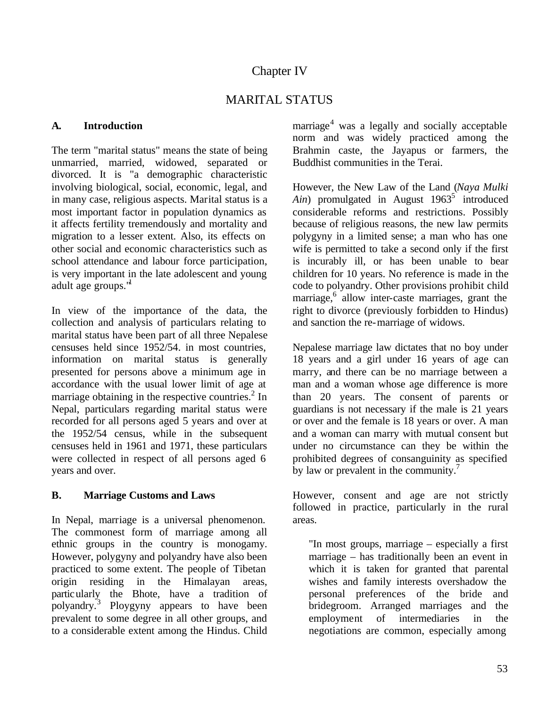## Chapter IV

# MARITAL STATUS

#### **A. Introduction**

The term "marital status" means the state of being unmarried, married, widowed, separated or divorced. It is "a demographic characteristic involving biological, social, economic, legal, and in many case, religious aspects. Marital status is a most important factor in population dynamics as it affects fertility tremendously and mortality and migration to a lesser extent. Also, its effects on other social and economic characteristics such as school attendance and labour force participation, is very important in the late adolescent and young adult age groups."

In view of the importance of the data, the collection and analysis of particulars relating to marital status have been part of all three Nepalese censuses held since 1952/54. in most countries, information on marital status is generally presented for persons above a minimum age in accordance with the usual lower limit of age at marriage obtaining in the respective countries. $2 \text{ In }$ Nepal, particulars regarding marital status were recorded for all persons aged 5 years and over at the 1952/54 census, while in the subsequent censuses held in 1961 and 1971, these particulars were collected in respect of all persons aged 6 years and over.

### **B. Marriage Customs and Laws**

In Nepal, marriage is a universal phenomenon. The commonest form of marriage among all ethnic groups in the country is monogamy. However, polygyny and polyandry have also been practiced to some extent. The people of Tibetan origin residing in the Himalayan areas, particularly the Bhote, have a tradition of polyandry.<sup>3</sup> Ploygyny appears to have been prevalent to some degree in all other groups, and to a considerable extent among the Hindus. Child

marriage<sup>4</sup> was a legally and socially acceptable norm and was widely practiced among the Brahmin caste, the Jayapus or farmers, the Buddhist communities in the Terai.

However, the New Law of the Land (*Naya Mulki*  Ain) promulgated in August 1963<sup>5</sup> introduced considerable reforms and restrictions. Possibly because of religious reasons, the new law permits polygyny in a limited sense; a man who has one wife is permitted to take a second only if the first is incurably ill, or has been unable to bear children for 10 years. No reference is made in the code to polyandry. Other provisions prohibit child marriage,<sup>6</sup> allow inter-caste marriages, grant the right to divorce (previously forbidden to Hindus) and sanction the re-marriage of widows.

Nepalese marriage law dictates that no boy under 18 years and a girl under 16 years of age can marry, and there can be no marriage between a man and a woman whose age difference is more than 20 years. The consent of parents or guardians is not necessary if the male is 21 years or over and the female is 18 years or over. A man and a woman can marry with mutual consent but under no circumstance can they be within the prohibited degrees of consanguinity as specified by law or prevalent in the community. $\frac{7}{2}$ 

However, consent and age are not strictly followed in practice, particularly in the rural areas.

"In most groups, marriage – especially a first marriage – has traditionally been an event in which it is taken for granted that parental wishes and family interests overshadow the personal preferences of the bride and bridegroom. Arranged marriages and the employment of intermediaries in the negotiations are common, especially among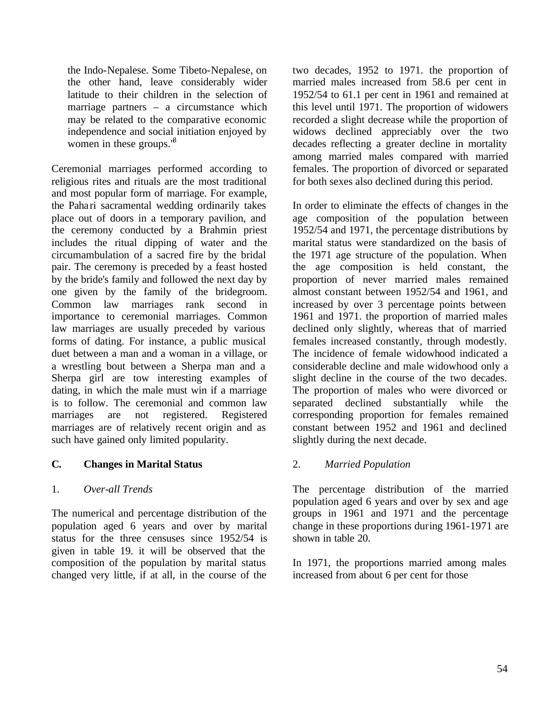the Indo-Nepalese. Some Tibeto-Nepalese, on the other hand, leave considerably wider latitude to their children in the selection of marriage partners – a circumstance which may be related to the comparative economic independence and social initiation enjoyed by women in these groups.<sup>18</sup>

Ceremonial marriages performed according to religious rites and rituals are the most traditional and most popular form of marriage. For example, the Pahari sacramental wedding ordinarily takes place out of doors in a temporary pavilion, and the ceremony conducted by a Brahmin priest includes the ritual dipping of water and the circumambulation of a sacred fire by the bridal pair. The ceremony is preceded by a feast hosted by the bride's family and followed the next day by one given by the family of the bridegroom. Common law marriages rank second in importance to ceremonial marriages. Common law marriages are usually preceded by various forms of dating. For instance, a public musical duet between a man and a woman in a village, or a wrestling bout between a Sherpa man and a Sherpa girl are tow interesting examples of dating, in which the male must win if a marriage is to follow. The ceremonial and common law marriages are not registered. Registered marriages are of relatively recent origin and as such have gained only limited popularity.

## **C. Changes in Marital Status**

## 1. *Over-all Trends*

The numerical and percentage distribution of the population aged 6 years and over by marital status for the three censuses since 1952/54 is given in table 19. it will be observed that the composition of the population by marital status changed very little, if at all, in the course of the two decades, 1952 to 1971. the proportion of married males increased from 58.6 per cent in 1952/54 to 61.1 per cent in 1961 and remained at this level until 1971. The proportion of widowers recorded a slight decrease while the proportion of widows declined appreciably over the two decades reflecting a greater decline in mortality among married males compared with married females. The proportion of divorced or separated for both sexes also declined during this period.

In order to eliminate the effects of changes in the age composition of the population between 1952/54 and 1971, the percentage distributions by marital status were standardized on the basis of the 1971 age structure of the population. When the age composition is held constant, the proportion of never married males remained almost constant between 1952/54 and 1961, and increased by over 3 percentage points between 1961 and 1971. the proportion of married males declined only slightly, whereas that of married females increased constantly, through modestly. The incidence of female widowhood indicated a considerable decline and male widowhood only a slight decline in the course of the two decades. The proportion of males who were divorced or separated declined substantially while the corresponding proportion for females remained constant between 1952 and 1961 and declined slightly during the next decade.

## 2. *Married Population*

The percentage distribution of the married population aged 6 years and over by sex and age groups in 1961 and 1971 and the percentage change in these proportions during 1961-1971 are shown in table 20.

In 1971, the proportions married among males increased from about 6 per cent for those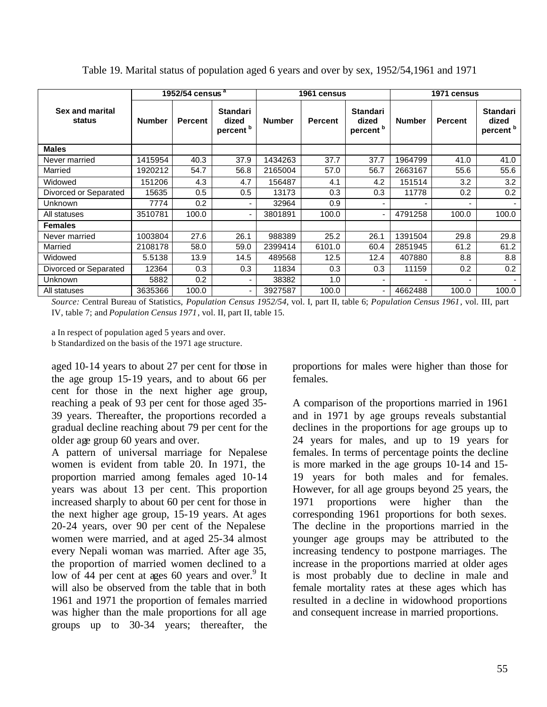|                           |               | 1952/54 census $a$ |                                                  |               | 1961 census    |                                                  | 1971 census   |                          |                                                  |  |
|---------------------------|---------------|--------------------|--------------------------------------------------|---------------|----------------|--------------------------------------------------|---------------|--------------------------|--------------------------------------------------|--|
| Sex and marital<br>status | <b>Number</b> | <b>Percent</b>     | <b>Standari</b><br>dized<br>percent <sup>b</sup> | <b>Number</b> | <b>Percent</b> | <b>Standari</b><br>dized<br>percent <sup>b</sup> | <b>Number</b> | <b>Percent</b>           | <b>Standari</b><br>dized<br>percent <sup>b</sup> |  |
| <b>Males</b>              |               |                    |                                                  |               |                |                                                  |               |                          |                                                  |  |
| Never married             | 1415954       | 40.3               | 37.9                                             | 1434263       | 37.7           | 37.7                                             | 1964799       | 41.0                     | 41.0                                             |  |
| Married                   | 1920212       | 54.7               | 56.8                                             | 2165004       | 57.0           | 56.7                                             | 2663167       | 55.6                     | 55.6                                             |  |
| Widowed                   | 151206        | 4.3                | 4.7                                              | 156487        | 4.1            | 4.2                                              | 151514        | 3.2                      | 3.2                                              |  |
| Divorced or Separated     | 15635         | 0.5                | 0.5                                              | 13173         | 0.3            | 0.3                                              | 11778         | 0.2                      | 0.2                                              |  |
| Unknown                   | 7774          | 0.2                | $\overline{\phantom{a}}$                         | 32964         | 0.9            | ٠                                                |               | $\overline{\phantom{0}}$ |                                                  |  |
| All statuses              | 3510781       | 100.0              | ۰                                                | 3801891       | 100.0          | $\blacksquare$                                   | 4791258       | 100.0                    | 100.0                                            |  |
| <b>Females</b>            |               |                    |                                                  |               |                |                                                  |               |                          |                                                  |  |
| Never married             | 1003804       | 27.6               | 26.1                                             | 988389        | 25.2           | 26.1                                             | 1391504       | 29.8                     | 29.8                                             |  |
| Married                   | 2108178       | 58.0               | 59.0                                             | 2399414       | 6101.0         | 60.4                                             | 2851945       | 61.2                     | 61.2                                             |  |
| Widowed                   | 5.5138        | 13.9               | 14.5                                             | 489568        | 12.5           | 12.4                                             | 407880        | 8.8                      | 8.8                                              |  |
| Divorced or Separated     | 12364         | 0.3                | 0.3                                              | 11834         | 0.3            | 0.3                                              | 11159         | 0.2                      | 0.2                                              |  |
| Unknown                   | 5882          | 0.2                | $\overline{\phantom{0}}$                         | 38382         | 1.0            | $\overline{\phantom{0}}$                         |               |                          |                                                  |  |
| All statuses              | 3635366       | 100.0              | $\overline{\phantom{a}}$                         | 3927587       | 100.0          | $\blacksquare$                                   | 4662488       | 100.0                    | 100.0                                            |  |

Table 19. Marital status of population aged 6 years and over by sex, 1952/54,1961 and 1971

*Source:* Central Bureau of Statistics, *Population Census 1952/54*, vol. I, part II, table 6; *Population Census 1961*, vol. III, part IV, table 7; and *Population Census 1971*, vol. II, part II, table 15.

a In respect of population aged 5 years and over. b Standardized on the basis of the 1971 age structure.

aged 10-14 years to about 27 per cent for those in the age group 15-19 years, and to about 66 per cent for those in the next higher age group, reaching a peak of 93 per cent for those aged 35- 39 years. Thereafter, the proportions recorded a gradual decline reaching about 79 per cent for the older age group 60 years and over.

A pattern of universal marriage for Nepalese women is evident from table 20. In 1971, the proportion married among females aged 10-14 years was about 13 per cent. This proportion increased sharply to about 60 per cent for those in the next higher age group, 15-19 years. At ages 20-24 years, over 90 per cent of the Nepalese women were married, and at aged 25-34 almost every Nepali woman was married. After age 35, the proportion of married women declined to a low of 44 per cent at ages 60 years and over.<sup>9</sup> It will also be observed from the table that in both 1961 and 1971 the proportion of females married was higher than the male proportions for all age groups up to 30-34 years; thereafter, the

proportions for males were higher than those for females.

A comparison of the proportions married in 1961 and in 1971 by age groups reveals substantial declines in the proportions for age groups up to 24 years for males, and up to 19 years for females. In terms of percentage points the decline is more marked in the age groups 10-14 and 15- 19 years for both males and for females. However, for all age groups beyond 25 years, the 1971 proportions were higher than the corresponding 1961 proportions for both sexes. The decline in the proportions married in the younger age groups may be attributed to the increasing tendency to postpone marriages. The increase in the proportions married at older ages is most probably due to decline in male and female mortality rates at these ages which has resulted in a decline in widowhood proportions and consequent increase in married proportions.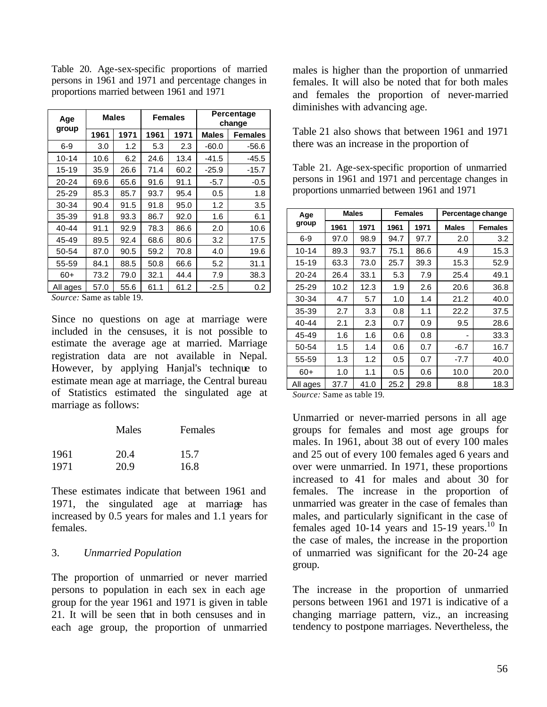| Age                |      | <b>Males</b> |      | <b>Females</b> |              | Percentage<br>change |
|--------------------|------|--------------|------|----------------|--------------|----------------------|
| group              | 1961 | 1971         | 1961 | 1971           | <b>Males</b> | <b>Females</b>       |
| $6 - 9$            | 3.0  | 1.2          | 5.3  | 2.3            | $-60.0$      | $-56.6$              |
| $10 - 14$          | 10.6 | 6.2          | 24.6 | 13.4           | $-41.5$      | $-45.5$              |
| 15-19              | 35.9 | 26.6         | 71.4 | 60.2           | $-25.9$      | -15.7                |
| 20-24              | 69.6 | 65.6         | 91.6 | 91.1           | -5.7         | -0.5                 |
| 25-29              | 85.3 | 85.7         | 93.7 | 95.4           | 0.5          | 1.8                  |
| 30-34              | 90.4 | 91.5         | 91.8 | 95.0           | 1.2          | 3.5                  |
| 35-39              | 91.8 | 93.3         | 86.7 | 92.0           | 1.6          | 6.1                  |
| 40-44              | 91.1 | 92.9         | 78.3 | 86.6           | 2.0          | 10.6                 |
| 45-49              | 89.5 | 92.4         | 68.6 | 80.6           | 3.2          | 17.5                 |
| 50-54              | 87.0 | 90.5         | 59.2 | 70.8           | 4.0          | 19.6                 |
| 55-59              | 84.1 | 88.5         | 50.8 | 66.6           | 5.2          | 31.1                 |
| $60+$              | 73.2 | 79.0         | 32.1 | 44.4           | 7.9          | 38.3                 |
| All ages<br>$\sim$ | 57.0 | 55.6<br>11   | 61.1 | 61.2           | $-2.5$       | 0.2                  |

Table 20. Age-sex-specific proportions of married persons in 1961 and 1971 and percentage changes in proportions married between 1961 and 1971

*Source:* Same as table 19.

Since no questions on age at marriage were included in the censuses, it is not possible to estimate the average age at married. Marriage registration data are not available in Nepal. However, by applying Hanjal's technique to estimate mean age at marriage, the Central bureau of Statistics estimated the singulated age at marriage as follows:

|      | Males | Females |
|------|-------|---------|
| 1961 | 20.4  | 15.7    |
| 1971 | 20.9  | 16.8    |

These estimates indicate that between 1961 and 1971, the singulated age at marriage has increased by 0.5 years for males and 1.1 years for females.

#### 3. *Unmarried Population*

The proportion of unmarried or never married persons to population in each sex in each age group for the year 1961 and 1971 is given in table 21. It will be seen that in both censuses and in each age group, the proportion of unmarried

males is higher than the proportion of unmarried females. It will also be noted that for both males and females the proportion of never-married diminishes with advancing age.

Table 21 also shows that between 1961 and 1971 there was an increase in the proportion of

Table 21. Age-sex-specific proportion of unmarried persons in 1961 and 1971 and percentage changes in proportions unmarried between 1961 and 1971

| Age       | <b>Males</b> |      |      | <b>Females</b> |              | Percentage change |
|-----------|--------------|------|------|----------------|--------------|-------------------|
| group     | 1961         | 1971 | 1961 | 1971           | <b>Males</b> | <b>Females</b>    |
| $6 - 9$   | 97.0         | 98.9 | 94.7 | 97.7           | 2.0          | 3.2               |
| $10 - 14$ | 89.3         | 93.7 | 75.1 | 86.6           | 4.9          | 15.3              |
| 15-19     | 63.3         | 73.0 | 25.7 | 39.3           | 15.3         | 52.9              |
| 20-24     | 26.4         | 33.1 | 5.3  | 7.9            | 25.4         | 49.1              |
| 25-29     | 10.2         | 12.3 | 1.9  | 2.6            | 20.6         | 36.8              |
| 30-34     | 4.7          | 5.7  | 1.0  | 1.4            | 21.2         | 40.0              |
| 35-39     | 2.7          | 3.3  | 0.8  | 1.1            | 22.2         | 37.5              |
| 40-44     | 2.1          | 2.3  | 0.7  | 0.9            | 9.5          | 28.6              |
| 45-49     | 1.6          | 1.6  | 0.6  | 0.8            |              | 33.3              |
| 50-54     | 1.5          | 1.4  | 0.6  | 0.7            | -6.7         | 16.7              |
| 55-59     | 1.3          | 1.2  | 0.5  | 0.7            | $-7.7$       | 40.0              |
| $60+$     | 1.0          | 1.1  | 0.5  | 0.6            | 10.0         | 20.0              |
| All ages  | 37.7         | 41.0 | 25.2 | 29.8           | 8.8          | 18.3              |

*Source:* Same as table 19.

Unmarried or never-married persons in all age groups for females and most age groups for males. In 1961, about 38 out of every 100 males and 25 out of every 100 females aged 6 years and over were unmarried. In 1971, these proportions increased to 41 for males and about 30 for females. The increase in the proportion of unmarried was greater in the case of females than males, and particularly significant in the case of females aged 10-14 years and 15-19 years.<sup>10</sup> In the case of males, the increase in the proportion of unmarried was significant for the 20-24 age group.

The increase in the proportion of unmarried persons between 1961 and 1971 is indicative of a changing marriage pattern, viz., an increasing tendency to postpone marriages. Nevertheless, the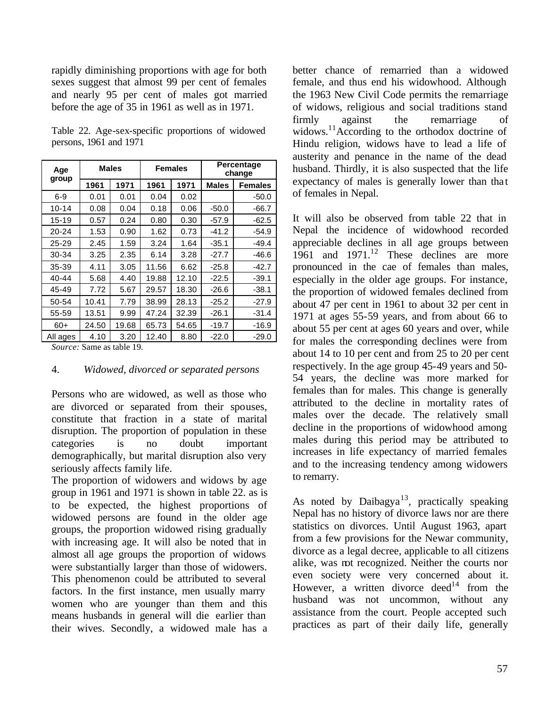rapidly diminishing proportions with age for both sexes suggest that almost 99 per cent of females and nearly 95 per cent of males got married before the age of 35 in 1961 as well as in 1971.

Table 22. Age-sex-specific proportions of widowed persons, 1961 and 1971

| Age       |       | <b>Males</b> |       | <b>Females</b> |              | Percentage<br>change |
|-----------|-------|--------------|-------|----------------|--------------|----------------------|
| group     | 1961  | 1971         | 1961  | 1971           | <b>Males</b> | <b>Females</b>       |
| $6-9$     | 0.01  | 0.01         | 0.04  | 0.02           |              | $-50.0$              |
| $10 - 14$ | 0.08  | 0.04         | 0.18  | 0.06           | $-50.0$      | -66.7                |
| 15-19     | 0.57  | 0.24         | 0.80  | 0.30           | $-57.9$      | $-62.5$              |
| 20-24     | 1.53  | 0.90         | 1.62  | 0.73           | $-41.2$      | $-54.9$              |
| 25-29     | 2.45  | 1.59         | 3.24  | 1.64           | $-35.1$      | $-49.4$              |
| 30-34     | 3.25  | 2.35         | 6.14  | 3.28           | $-27.7$      | -46.6                |
| 35-39     | 4.11  | 3.05         | 11.56 | 6.62           | $-25.8$      | $-42.7$              |
| 40-44     | 5.68  | 4.40         | 19.88 | 12.10          | $-22.5$      | $-39.1$              |
| 45-49     | 7.72  | 5.67         | 29.57 | 18.30          | $-26.6$      | $-38.1$              |
| 50-54     | 10.41 | 7.79         | 38.99 | 28.13          | $-25.2$      | $-27.9$              |
| 55-59     | 13.51 | 9.99         | 47.24 | 32.39          | $-26.1$      | $-31.4$              |
| $60+$     | 24.50 | 19.68        | 65.73 | 54.65          | $-19.7$      | $-16.9$              |
| All ages  | 4.10  | 3.20         | 12.40 | 8.80           | $-22.0$      | $-29.0$              |

*Source:* Same as table 19.

### 4. *Widowed, divorced or separated persons*

Persons who are widowed, as well as those who are divorced or separated from their spouses, constitute that fraction in a state of marital disruption. The proportion of population in these categories is no doubt important demographically, but marital disruption also very seriously affects family life.

The proportion of widowers and widows by age group in 1961 and 1971 is shown in table 22. as is to be expected, the highest proportions of widowed persons are found in the older age groups, the proportion widowed rising gradually with increasing age. It will also be noted that in almost all age groups the proportion of widows were substantially larger than those of widowers. This phenomenon could be attributed to several factors. In the first instance, men usually marry women who are younger than them and this means husbands in general will die earlier than their wives. Secondly, a widowed male has a better chance of remarried than a widowed female, and thus end his widowhood. Although the 1963 New Civil Code permits the remarriage of widows, religious and social traditions stand firmly against the remarriage of widows.<sup>11</sup>According to the orthodox doctrine of Hindu religion, widows have to lead a life of austerity and penance in the name of the dead husband. Thirdly, it is also suspected that the life expectancy of males is generally lower than that of females in Nepal.

It will also be observed from table 22 that in Nepal the incidence of widowhood recorded appreciable declines in all age groups between 1961 and  $1971$ .<sup>12</sup> These declines are more pronounced in the cae of females than males, especially in the older age groups. For instance, the proportion of widowed females declined from about 47 per cent in 1961 to about 32 per cent in 1971 at ages 55-59 years, and from about 66 to about 55 per cent at ages 60 years and over, while for males the corresponding declines were from about 14 to 10 per cent and from 25 to 20 per cent respectively. In the age group 45-49 years and 50- 54 years, the decline was more marked for females than for males. This change is generally attributed to the decline in mortality rates of males over the decade. The relatively small decline in the proportions of widowhood among males during this period may be attributed to increases in life expectancy of married females and to the increasing tendency among widowers to remarry.

As noted by Daibagya<sup>13</sup>, practically speaking Nepal has no history of divorce laws nor are there statistics on divorces. Until August 1963, apart from a few provisions for the Newar community, divorce as a legal decree, applicable to all citizens alike, was not recognized. Neither the courts nor even society were very concerned about it. However, a written divorce deed<sup>14</sup> from the husband was not uncommon, without any assistance from the court. People accepted such practices as part of their daily life, generally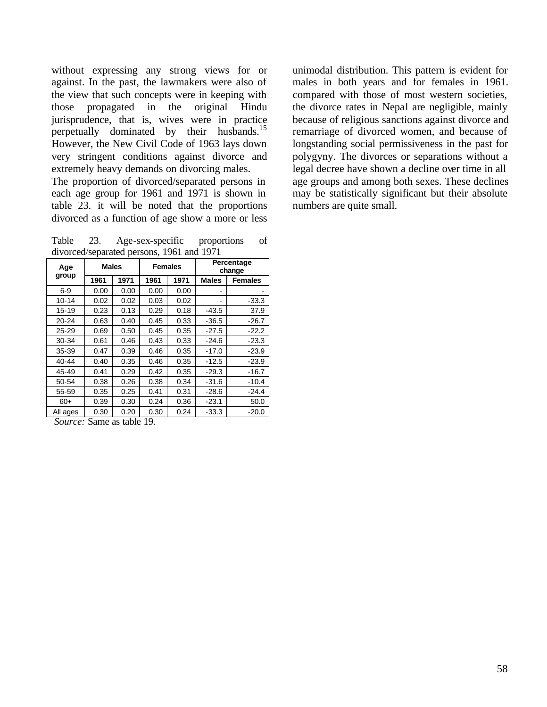without expressing any strong views for or against. In the past, the lawmakers were also of the view that such concepts were in keeping with those propagated in the original Hindu jurisprudence, that is, wives were in practice perpetually dominated by their husbands.<sup>15</sup> However, the New Civil Code of 1963 lays down very stringent conditions against divorce and extremely heavy demands on divorcing males.

The proportion of divorced/separated persons in each age group for 1961 and 1971 is shown in table 23. it will be noted that the proportions divorced as a function of age show a more or less

Table 23. Age-sex-specific proportions of divorced/separated persons, 1961 and 1971

| Age       | <b>Males</b> |      | <b>Females</b> |      | Percentage<br>change |                |  |
|-----------|--------------|------|----------------|------|----------------------|----------------|--|
| group     | 1961         | 1971 | 1961           | 1971 | <b>Males</b>         | <b>Females</b> |  |
| $6-9$     | 0.00         | 0.00 | 0.00           | 0.00 |                      |                |  |
| $10 - 14$ | 0.02         | 0.02 | 0.03           | 0.02 | -                    | $-33.3$        |  |
| $15 - 19$ | 0.23         | 0.13 | 0.29           | 0.18 | $-43.5$              | 37.9           |  |
| $20 - 24$ | 0.63         | 0.40 | 0.45           | 0.33 | $-36.5$              | $-26.7$        |  |
| $25 - 29$ | 0.69         | 0.50 | 0.45           | 0.35 | $-27.5$              | $-22.2$        |  |
| 30-34     | 0.61         | 0.46 | 0.43           | 0.33 | $-24.6$              | $-23.3$        |  |
| 35-39     | 0.47         | 0.39 | 0.46           | 0.35 | $-17.0$              | $-23.9$        |  |
| 40-44     | 0.40         | 0.35 | 0.46           | 0.35 | $-12.5$              | $-23.9$        |  |
| 45-49     | 0.41         | 0.29 | 0.42           | 0.35 | $-29.3$              | $-16.7$        |  |
| 50-54     | 0.38         | 0.26 | 0.38           | 0.34 | $-31.6$              | $-10.4$        |  |
| 55-59     | 0.35         | 0.25 | 0.41           | 0.31 | $-28.6$              | $-24.4$        |  |
| $60+$     | 0.39         | 0.30 | 0.24           | 0.36 | $-23.1$              | 50.0           |  |
| All ages  | 0.30         | 0.20 | 0.30           | 0.24 | $-33.3$              | $-20.0$        |  |

 *Source:* Same as table 19.

unimodal distribution. This pattern is evident for males in both years and for females in 1961. compared with those of most western societies, the divorce rates in Nepal are negligible, mainly because of religious sanctions against divorce and remarriage of divorced women, and because of longstanding social permissiveness in the past for polygyny. The divorces or separations without a legal decree have shown a decline over time in all age groups and among both sexes. These declines may be statistically significant but their absolute numbers are quite small.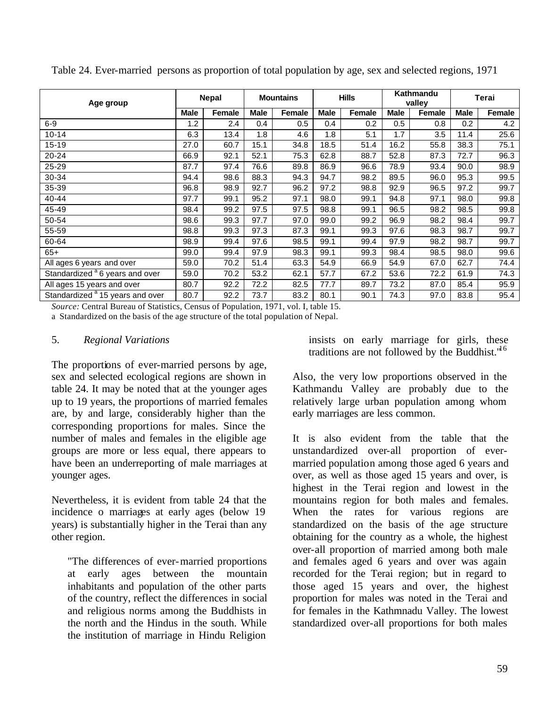| Age group                                   |             | <b>Nepal</b> |             | <b>Mountains</b> | <b>Hills</b> |        | <b>Kathmandu</b><br>valley |        | Terai       |        |
|---------------------------------------------|-------------|--------------|-------------|------------------|--------------|--------|----------------------------|--------|-------------|--------|
|                                             | <b>Male</b> | Female       | <b>Male</b> | Female           | Male         | Female | Male                       | Female | <b>Male</b> | Female |
| $6-9$                                       | 1.2         | $2.4\,$      | 0.4         | 0.5              | 0.4          | 0.2    | 0.5                        | 0.8    | 0.2         | 4.2    |
| $10 - 14$                                   | 6.3         | 13.4         | 1.8         | 4.6              | 1.8          | 5.1    | 1.7                        | 3.5    | 11.4        | 25.6   |
| 15-19                                       | 27.0        | 60.7         | 15.1        | 34.8             | 18.5         | 51.4   | 16.2                       | 55.8   | 38.3        | 75.1   |
| 20-24                                       | 66.9        | 92.1         | 52.1        | 75.3             | 62.8         | 88.7   | 52.8                       | 87.3   | 72.7        | 96.3   |
| 25-29                                       | 87.7        | 97.4         | 76.6        | 89.8             | 86.9         | 96.6   | 78.9                       | 93.4   | 90.0        | 98.9   |
| 30-34                                       | 94.4        | 98.6         | 88.3        | 94.3             | 94.7         | 98.2   | 89.5                       | 96.0   | 95.3        | 99.5   |
| 35-39                                       | 96.8        | 98.9         | 92.7        | 96.2             | 97.2         | 98.8   | 92.9                       | 96.5   | 97.2        | 99.7   |
| 40-44                                       | 97.7        | 99.1         | 95.2        | 97.1             | 98.0         | 99.1   | 94.8                       | 97.1   | 98.0        | 99.8   |
| 45-49                                       | 98.4        | 99.2         | 97.5        | 97.5             | 98.8         | 99.1   | 96.5                       | 98.2   | 98.5        | 99.8   |
| 50-54                                       | 98.6        | 99.3         | 97.7        | 97.0             | 99.0         | 99.2   | 96.9                       | 98.2   | 98.4        | 99.7   |
| 55-59                                       | 98.8        | 99.3         | 97.3        | 87.3             | 99.1         | 99.3   | 97.6                       | 98.3   | 98.7        | 99.7   |
| 60-64                                       | 98.9        | 99.4         | 97.6        | 98.5             | 99.1         | 99.4   | 97.9                       | 98.2   | 98.7        | 99.7   |
| $65+$                                       | 99.0        | 99.4         | 97.9        | 98.3             | 99.1         | 99.3   | 98.4                       | 98.5   | 98.0        | 99.6   |
| All ages 6 years and over                   | 59.0        | 70.2         | 51.4        | 63.3             | 54.9         | 66.9   | 54.9                       | 67.0   | 62.7        | 74.4   |
| Standardized <sup>a</sup> 6 years and over  | 59.0        | 70.2         | 53.2        | 62.1             | 57.7         | 67.2   | 53.6                       | 72.2   | 61.9        | 74.3   |
| All ages 15 years and over                  | 80.7        | 92.2         | 72.2        | 82.5             | 77.7         | 89.7   | 73.2                       | 87.0   | 85.4        | 95.9   |
| Standardized <sup>a</sup> 15 years and over | 80.7        | 92.2         | 73.7        | 83.2             | 80.1         | 90.1   | 74.3                       | 97.0   | 83.8        | 95.4   |

Table 24. Ever-married persons as proportion of total population by age, sex and selected regions, 1971

*Source:* Central Bureau of Statistics, Census of Population, 1971, vol. I, table 15.

a Standardized on the basis of the age structure of the total population of Nepal.

### 5. *Regional Variations*

The proportions of ever-married persons by age, sex and selected ecological regions are shown in table 24. It may be noted that at the younger ages up to 19 years, the proportions of married females are, by and large, considerably higher than the corresponding proportions for males. Since the number of males and females in the eligible age groups are more or less equal, there appears to have been an underreporting of male marriages at younger ages.

Nevertheless, it is evident from table 24 that the incidence o marriages at early ages (below 19 years) is substantially higher in the Terai than any other region.

"The differences of ever-married proportions at early ages between the mountain inhabitants and population of the other parts of the country, reflect the differences in social and religious norms among the Buddhists in the north and the Hindus in the south. While the institution of marriage in Hindu Religion insists on early marriage for girls, these traditions are not followed by the Buddhist. $1^{16}$ 

Also, the very low proportions observed in the Kathmandu Valley are probably due to the relatively large urban population among whom early marriages are less common.

It is also evident from the table that the unstandardized over-all proportion of evermarried population among those aged 6 years and over, as well as those aged 15 years and over, is highest in the Terai region and lowest in the mountains region for both males and females. When the rates for various regions are standardized on the basis of the age structure obtaining for the country as a whole, the highest over-all proportion of married among both male and females aged 6 years and over was again recorded for the Terai region; but in regard to those aged 15 years and over, the highest proportion for males was noted in the Terai and for females in the Kathmnadu Valley. The lowest standardized over-all proportions for both males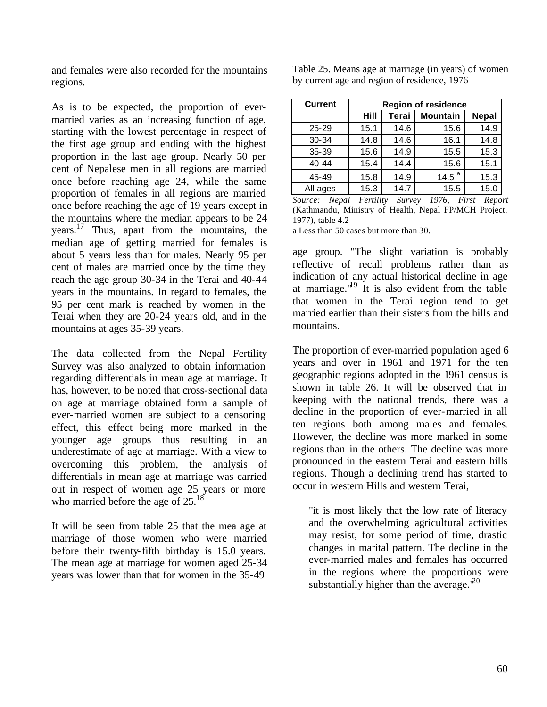and females were also recorded for the mountains regions.

As is to be expected, the proportion of evermarried varies as an increasing function of age, starting with the lowest percentage in respect of the first age group and ending with the highest proportion in the last age group. Nearly 50 per cent of Nepalese men in all regions are married once before reaching age 24, while the same proportion of females in all regions are married once before reaching the age of 19 years except in the mountains where the median appears to be 24 years.<sup>17</sup> Thus, apart from the mountains, the median age of getting married for females is about 5 years less than for males. Nearly 95 per cent of males are married once by the time they reach the age group 30-34 in the Terai and 40-44 years in the mountains. In regard to females, the 95 per cent mark is reached by women in the Terai when they are 20-24 years old, and in the mountains at ages 35-39 years.

The data collected from the Nepal Fertility Survey was also analyzed to obtain information regarding differentials in mean age at marriage. It has, however, to be noted that cross-sectional data on age at marriage obtained form a sample of ever-married women are subject to a censoring effect, this effect being more marked in the younger age groups thus resulting in an underestimate of age at marriage. With a view to overcoming this problem, the analysis of differentials in mean age at marriage was carried out in respect of women age 25 years or more who married before the age of  $25.^{18}$ 

It will be seen from table 25 that the mea age at marriage of those women who were married before their twenty-fifth birthday is 15.0 years. The mean age at marriage for women aged 25-34 years was lower than that for women in the 35-49

Table 25. Means age at marriage (in years) of women by current age and region of residence, 1976

| <b>Current</b> |      | <b>Region of residence</b> |                 |              |  |  |  |  |  |  |
|----------------|------|----------------------------|-----------------|--------------|--|--|--|--|--|--|
|                | Hill | <b>Terai</b>               | <b>Mountain</b> | <b>Nepal</b> |  |  |  |  |  |  |
| $25 - 29$      | 15.1 | 14.6                       | 15.6            | 14.9         |  |  |  |  |  |  |
| 30-34          | 14.8 | 14.6                       | 16.1            | 14.8         |  |  |  |  |  |  |
| 35-39          | 15.6 | 14.9                       | 15.5            | 15.3         |  |  |  |  |  |  |
| $40 - 44$      | 15.4 | 14.4                       | 15.6            | 15.1         |  |  |  |  |  |  |
| 45-49          | 15.8 | 14.9                       | 14.5 $^{\circ}$ | 15.3         |  |  |  |  |  |  |
| All ages       | 15.3 | 14.7                       | 15.5            | 15.0         |  |  |  |  |  |  |

*Source: Nepal Fertility Survey 1976, First Report* (Kathmandu, Ministry of Health, Nepal FP/MCH Project, 1977), table 4.2

a Less than 50 cases but more than 30.

age group. "The slight variation is probably reflective of recall problems rather than as indication of any actual historical decline in age at marriage. $19$  It is also evident from the table that women in the Terai region tend to get married earlier than their sisters from the hills and mountains.

The proportion of ever-married population aged 6 years and over in 1961 and 1971 for the ten geographic regions adopted in the 1961 census is shown in table 26. It will be observed that in keeping with the national trends, there was a decline in the proportion of ever-married in all ten regions both among males and females. However, the decline was more marked in some regions than in the others. The decline was more pronounced in the eastern Terai and eastern hills regions. Though a declining trend has started to occur in western Hills and western Terai,

"it is most likely that the low rate of literacy and the overwhelming agricultural activities may resist, for some period of time, drastic changes in marital pattern. The decline in the ever-married males and females has occurred in the regions where the proportions were substantially higher than the average. $120$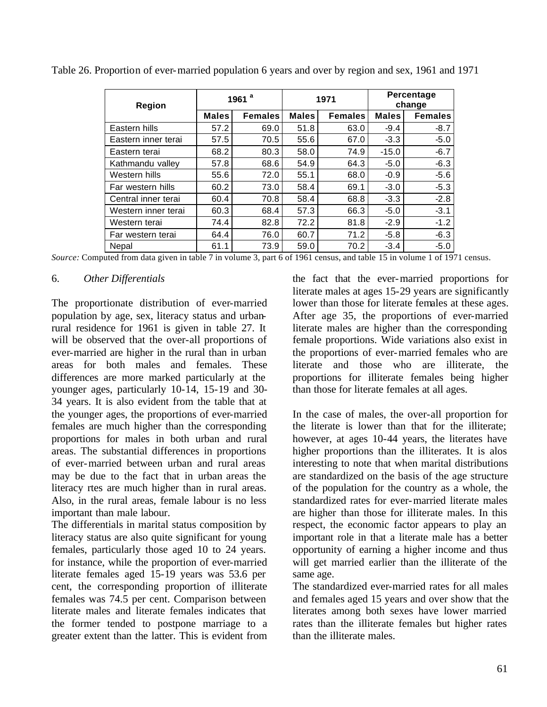| <b>Region</b>       |              | 1961 $a$       | 1971         |                | Percentage<br>change |                |  |
|---------------------|--------------|----------------|--------------|----------------|----------------------|----------------|--|
|                     | <b>Males</b> | <b>Females</b> | <b>Males</b> | <b>Females</b> | <b>Males</b>         | <b>Females</b> |  |
| Eastern hills       | 57.2         | 69.0           | 51.8         | 63.0           | $-9.4$               | $-8.7$         |  |
| Eastern inner terai | 57.5         | 70.5           | 55.6         | 67.0           | $-3.3$               | $-5.0$         |  |
| Eastern terai       | 68.2         | 80.3           | 58.0         | 74.9           | $-15.0$              | $-6.7$         |  |
| Kathmandu valley    | 57.8         | 68.6           | 54.9         | 64.3           | $-5.0$               | $-6.3$         |  |
| Western hills       | 55.6         | 72.0           | 55.1         | 68.0           | $-0.9$               | $-5.6$         |  |
| Far western hills   | 60.2         | 73.0           | 58.4         | 69.1           | $-3.0$               | $-5.3$         |  |
| Central inner terai | 60.4         | 70.8           | 58.4         | 68.8           | $-3.3$               | $-2.8$         |  |
| Western inner terai | 60.3         | 68.4           | 57.3         | 66.3           | $-5.0$               | $-3.1$         |  |
| Western terai       | 74.4         | 82.8           | 72.2         | 81.8           | $-2.9$               | $-1.2$         |  |
| Far western terai   | 64.4         | 76.0           | 60.7         | 71.2           | $-5.8$               | $-6.3$         |  |
| Nepal               | 61.1         | 73.9           | 59.0         | 70.2           | $-3.4$               | $-5.0$         |  |

Table 26. Proportion of ever-married population 6 years and over by region and sex, 1961 and 1971

*Source:* Computed from data given in table 7 in volume 3, part 6 of 1961 census, and table 15 in volume 1 of 1971 census.

### 6. *Other Differentials*

The proportionate distribution of ever-married population by age, sex, literacy status and urbanrural residence for 1961 is given in table 27. It will be observed that the over-all proportions of ever-married are higher in the rural than in urban areas for both males and females. These differences are more marked particularly at the younger ages, particularly 10-14, 15-19 and 30- 34 years. It is also evident from the table that at the younger ages, the proportions of ever-married females are much higher than the corresponding proportions for males in both urban and rural areas. The substantial differences in proportions of ever-married between urban and rural areas may be due to the fact that in urban areas the literacy rtes are much higher than in rural areas. Also, in the rural areas, female labour is no less important than male labour.

The differentials in marital status composition by literacy status are also quite significant for young females, particularly those aged 10 to 24 years. for instance, while the proportion of ever-married literate females aged 15-19 years was 53.6 per cent, the corresponding proportion of illiterate females was 74.5 per cent. Comparison between literate males and literate females indicates that the former tended to postpone marriage to a greater extent than the latter. This is evident from the fact that the ever-married proportions for literate males at ages 15-29 years are significantly lower than those for literate females at these ages. After age 35, the proportions of ever-married literate males are higher than the corresponding female proportions. Wide variations also exist in the proportions of ever-married females who are literate and those who are illiterate, the proportions for illiterate females being higher than those for literate females at all ages.

In the case of males, the over-all proportion for the literate is lower than that for the illiterate; however, at ages 10-44 years, the literates have higher proportions than the illiterates. It is alos interesting to note that when marital distributions are standardized on the basis of the age structure of the population for the country as a whole, the standardized rates for ever-married literate males are higher than those for illiterate males. In this respect, the economic factor appears to play an important role in that a literate male has a better opportunity of earning a higher income and thus will get married earlier than the illiterate of the same age.

The standardized ever-married rates for all males and females aged 15 years and over show that the literates among both sexes have lower married rates than the illiterate females but higher rates than the illiterate males.